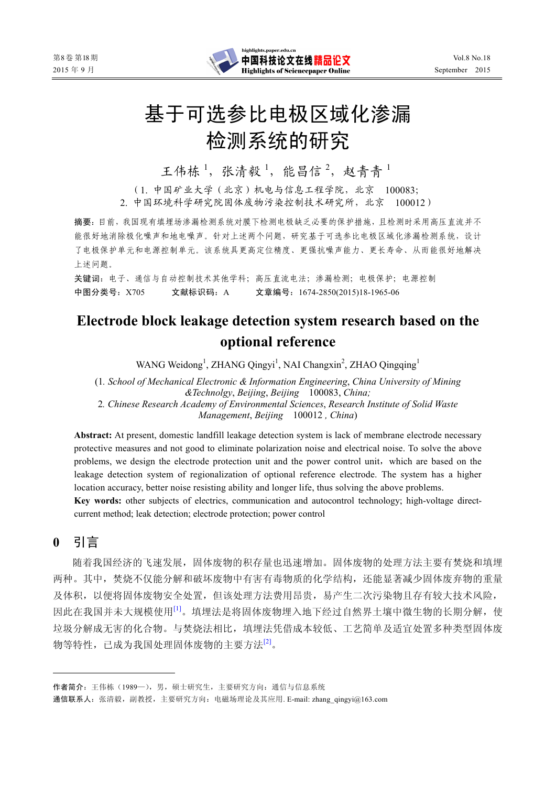

# 基于可选参比电极区域化渗漏 检测系统的研究

王伟栋<sup>1</sup>, 张清毅<sup>1</sup>, 能昌信<sup>2</sup>, 赵青青<sup>1</sup>

(1. 中国矿业大学(北京)机电与信息工程学院,北京 100083; 2. 中国环境科学研究院固体废物污染控制技术研究所,北京 100012)

摘要:目前,我国现有填埋场渗漏检测系统对膜下检测电极缺乏必要的保护措施,且检测时采用高压直流并不 能很好地消除极化噪声和地电噪声。针对上述两个问题,研究基于可选参比电极区域化渗漏检测系统,设计 了电极保护单元和电源控制单元。该系统具更高定位精度、更强抗噪声能力、更长寿命、从而能很好地解决 上述问题。

关键词:电子、通信与自动控制技术其他学科;高压直流电法;渗漏检测;电极保护;电源控制 中图分类号:X705 文献标识码:A 文章编号:1674-2850(2015)18-1965-06

# **Electrode block leakage detection system research based on the optional reference**

WANG Weidong<sup>1</sup>, ZHANG Qingyi<sup>1</sup>, NAI Changxin<sup>2</sup>, ZHAO Qingqing<sup>1</sup>

(1*. School of Mechanical Electronic & Information Engineering*, *China University of Mining &Technolgy*, *Beijing*, *Beijing* 100083, *China;* 

2*. Chinese Research Academy of Environmental Sciences*, *Research Institute of Solid Waste Management*, *Beijing* 100012 *, China*)

**Abstract:** At present, domestic landfill leakage detection system is lack of membrane electrode necessary protective measures and not good to eliminate polarization noise and electrical noise. To solve the above problems, we design the electrode protection unit and the power control unit, which are based on the leakage detection system of regionalization of optional reference electrode. The system has a higher location accuracy, better noise resisting ability and longer life, thus solving the above problems.

**Key words:** other subjects of electrics, communication and autocontrol technology; high-voltage directcurrent method; leak detection; electrode protection; power control

**0** 引言

随着我国经济的飞速发展,固体废物的积存量也迅速增加。固体废物的处理方法主要有焚烧和填埋 两种。其中,焚烧不仅能分解和破坏废物中有害有毒物质的化学结构,还能显著减少固体废弃物的重量 及体积,以便将固体废物安全处置,但该处理方法费用昂贵,易产生二次污染物且存有较大技术风险, 因此在我国并未大规模使用[1]。填埋法是将固体废物埋入地下经过自然界土壤中微生物的长期分解,使 垃圾分解成无害的化合物。与焚烧法相比,填埋法凭借成本较低、工艺简单及适宜处置多种类型固体废 物等特性, 已成为我国处理固体废物的主要方法<sup>[2]</sup>。

作者简介:王伟栋(1989—),男,硕士研究生,主要研究方向:通信与信息系统

通信联系人: 张清毅, 副教授, 主要研究方向: 电磁场理论及其应用. E-mail: zhang\_qingyi@163.com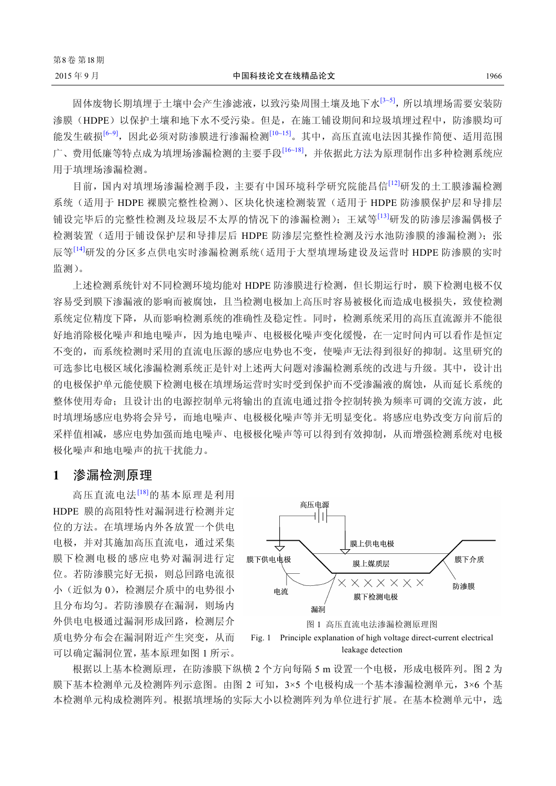固体废物长期填埋于土壤中会产生渗滤液,以致污染周围土壤及地下水[3~5],所以填埋场需要安装防 渗膜(HDPE)以保护土壤和地下水不受污染。但是,在施工铺设期间和垃圾填埋过程中,防渗膜均可 能发生破损<sup>[6~9]</sup>,因此必须对防渗膜进行渗漏检测<sup>[10~15]</sup>。其中,高压直流电法因其操作简便、适用范围 广、费用低廉等特点成为填埋场渗漏检测的主要手段[16~18],并依据此方法为原理制作出多种检测系统应 用于填埋场渗漏检测。

目前,国内对填埋场渗漏检测手段,主要有中国环境科学研究院能昌信[12]研发的土工膜渗漏检测 系统(适用于 HDPE 裸膜完整性检测)、区块化快速检测装置(适用于 HDPE 防渗膜保护层和导排层 铺设完毕后的完整性检测及垃圾层不太厚的情况下的渗漏检测);王斌等[13]研发的防渗层渗漏偶极子 检测装置(适用于铺设保护层和导排层后 HDPE 防渗层完整性检测及污水池防渗膜的渗漏检测);张 辰等[14]研发的分区多点供电实时渗漏检测系统(适用于大型填埋场建设及运营时 HDPE 防渗膜的实时 监测)。

上述检测系统针对不同检测环境均能对 HDPE 防渗膜进行检测,但长期运行时,膜下检测电极不仅 容易受到膜下渗漏液的影响而被腐蚀,且当检测电极加上高压时容易被极化而造成电极损失,致使检测 系统定位精度下降,从而影响检测系统的准确性及稳定性。同时,检测系统采用的高压直流源并不能很 好地消除极化噪声和地电噪声,因为地电噪声、电极极化噪声变化缓慢,在一定时间内可以看作是恒定 不变的,而系统检测时采用的直流电压源的感应电势也不变,使噪声无法得到很好的抑制。这里研究的 可选参比电极区域化渗漏检测系统正是针对上述两大问题对渗漏检测系统的改进与升级。其中,设计出 的电极保护单元能使膜下检测电极在填埋场运营时实时受到保护而不受渗漏液的腐蚀,从而延长系统的 整体使用寿命;且设计出的电源控制单元将输出的直流电通过指令控制转换为频率可调的交流方波,此 时填埋场感应电势将会异号,而地电噪声、电极极化噪声等并无明显变化。将感应电势改变方向前后的 采样值相减,感应电势加强而地电噪声、电极极化噪声等可以得到有效抑制,从而增强检测系统对电极 极化噪声和地电噪声的抗干扰能力。

### **1** 渗漏检测原理

高压直流电法[18]的基本原理是利用 HDPE 膜的高阻特性对漏洞进行检测并定 位的方法。在填埋场内外各放置一个供电 电极,并对其施加高压直流电,通过采集 膜下检测电极的感应电势对漏洞进行定 位。若防渗膜完好无损,则总回路电流很 小(近似为 0),检测层介质中的电势很小 且分布均匀。若防渗膜存在漏洞,则场内 外供电电极通过漏洞形成回路,检测层介 质电势分布会在漏洞附近产生突变,从而 可以确定漏洞位置,基本原理如图 1 所示。



根据以上基本检测原理, 在防渗膜下纵横 2 个方向每隔 5 m 设置一个电极, 形成电极阵列。图 2 为 膜下基本检测单元及检测阵列示意图。由图 2 可知, 3×5 个电极构成一个基本渗漏检测单元, 3×6 个基 本检测单元构成检测阵列。根据填埋场的实际大小以检测阵列为单位进行扩展。在基本检测单元中,选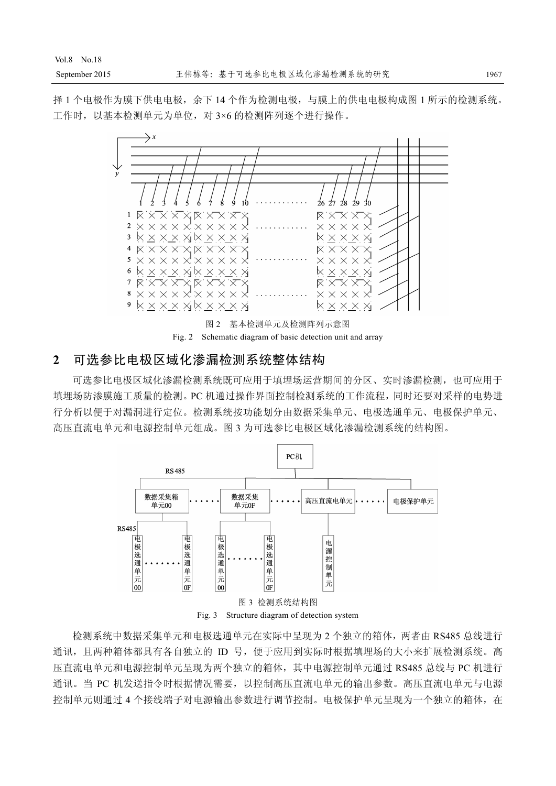择 1 个电极作为膜下供电电极,余下 14 个作为检测电极,与膜上的供电电极构成图 1 所示的检测系统。 工作时,以基本检测单元为单位,对 3×6 的检测阵列逐个进行操作。





# **2** 可选参比电极区域化渗漏检测系统整体结构

可选参比电极区域化渗漏检测系统既可应用于填埋场运营期间的分区、实时渗漏检测,也可应用于 填埋场防渗膜施工质量的检测。PC 机通过操作界面控制检测系统的工作流程,同时还要对采样的电势进 行分析以便于对漏洞进行定位。检测系统按功能划分由数据采集单元、电极选通单元、电极保护单元、 高压直流电单元和电源控制单元组成。图 3 为可选参比电极区域化渗漏检测系统的结构图。



Fig. 3 Structure diagram of detection system

检测系统中数据采集单元和电极选通单元在实际中呈现为 2 个独立的箱体,两者由 RS485 总线进行 通讯,且两种箱体都具有各自独立的 ID 号,便于应用到实际时根据填埋场的大小来扩展检测系统。高 压直流电单元和电源控制单元呈现为两个独立的箱体,其中电源控制单元通过 RS485 总线与 PC 机进行 通讯。当 PC 机发送指令时根据情况需要, 以控制高压直流电单元的输出参数。高压直流电单元与电源 控制单元则通过 4 个接线端子对电源输出参数进行调节控制。电极保护单元呈现为一个独立的箱体,在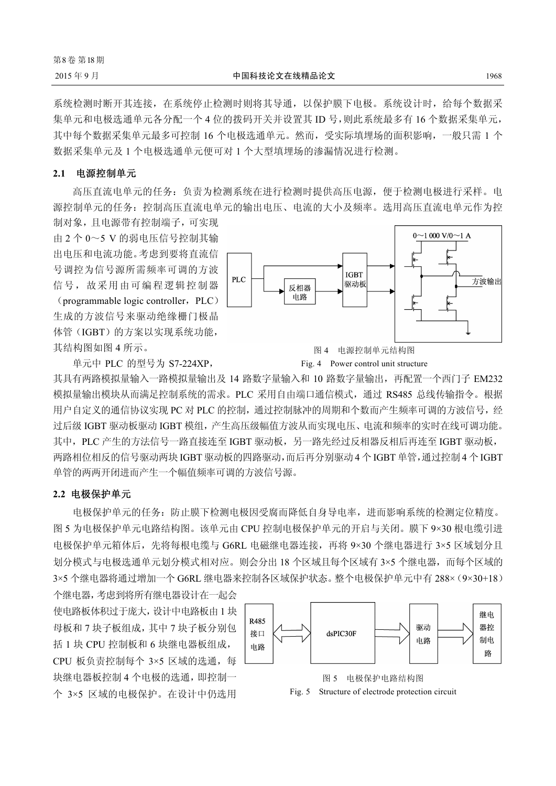系统检测时断开其连接,在系统停止检测时则将其导通,以保护膜下电极。系统设计时,给每个数据采 集单元和电极选通单元各分配一个 4 位的拨码开关并设置其 ID 号,则此系统最多有 16 个数据采集单元, 其中每个数据采集单元最多可控制 16 个电极选通单元。然而,受实际填埋场的面积影响,一般只需 1 个 数据采集单元及 1 个电极选通单元便可对 1 个大型填埋场的渗漏情况进行检测。

#### **2.1** 电源控制单元

高压直流电单元的任务:负责为检测系统在进行检测时提供高压电源,便于检测电极进行采样。电 源控制单元的任务:控制高压直流电单元的输出电压、电流的大小及频率。选用高压直流电单元作为控 制对象,且电源带有控制端子,可实现

由 2 个 0~5 V 的弱电压信号控制其输 出电压和电流功能。考虑到要将直流信 号调控为信号源所需频率可调的方波 信号,故采用由可编程逻辑控制器

 $(programmable logic controller,  $PLC$ )$ 生成的方波信号来驱动绝缘栅门极晶 体管(IGBT)的方案以实现系统功能, 其结构图如图 4 所示。



单元中 PLC 的型号为 S7-224XP,

Fig. 4 Power control unit structure

其具有两路模拟量输入一路模拟量输出及 14 路数字量输入和 10 路数字量输出, 再配置一个西门子 EM232 模拟量输出模块从而满足控制系统的需求。PLC 采用自由端口通信模式,通过 RS485 总线传输指令。根据 用户自定义的通信协议实现 PC 对 PLC 的控制,通过控制脉冲的周期和个数而产生频率可调的方波信号,经 过后级 IGBT 驱动板驱动 IGBT 模组,产生高压级幅值方波从而实现电压、电流和频率的实时在线可调功能。 其中, PLC 产生的方法信号一路直接连至 IGBT 驱动板,另一路先经过反相器反相后再连至 IGBT 驱动板, 两路相位相反的信号驱动两块 IGBT 驱动板的四路驱动,而后再分别驱动 4 个 IGBT 单管,通过控制 4 个 IGBT 单管的两两开闭进而产生一个幅值频率可调的方波信号源。

#### **2.2** 电极保护单元

电极保护单元的任务:防止膜下检测电极因受腐而降低自身导电率,进而影响系统的检测定位精度。 图 5 为电极保护单元电路结构图。该单元由 CPU 控制电极保护单元的开启与关闭。膜下 9×30 根电缆引进 电极保护单元箱体后,先将每根电缆与 G6RL 电磁继电器连接,再将 9×30 个继电器进行 3×5 区域划分且 划分模式与电极选通单元划分模式相对应。则会分出 18 个区域且每个区域有 3×5 个继电器,而每个区域的 3×5 个继电器将通过增加一个 G6RL 继电器来控制各区域保护状态。整个电极保护单元中有 288×(9×30+18)

个继电器,考虑到将所有继电器设计在一起会 使电路板体积过于庞大,设计中电路板由 1 块 母板和 7 块子板组成,其中 7 块子板分别包 括 1 块 CPU 控制板和 6 块继电器板组成, CPU 板负责控制每个 3×5 区域的选通, 每 块继电器板控制 4 个电极的选通,即控制一 个 3×5 区域的电极保护。在设计中仍选用



图 5 电极保护电路结构图 Fig. 5 Structure of electrode protection circuit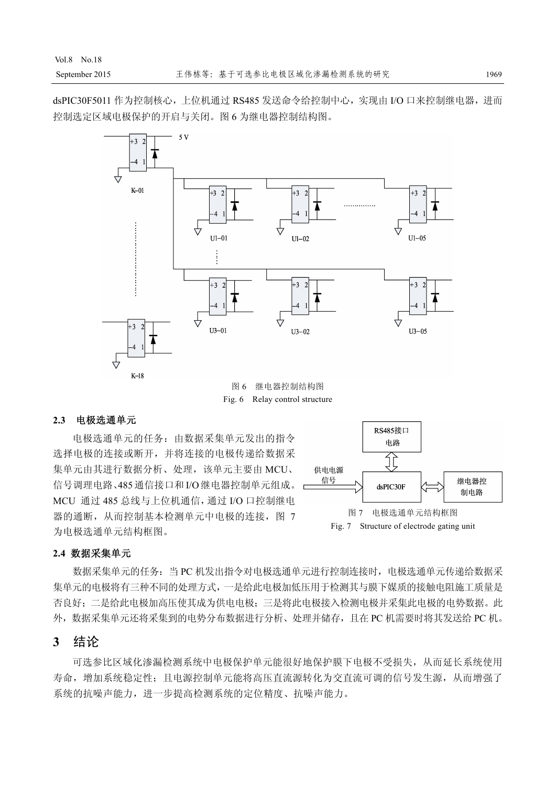dsPIC30F5011 作为控制核心,上位机通过 RS485 发送命令给控制中心,实现由 I/O 口来控制继电器,进而 控制选定区域电极保护的开启与关闭。图 6 为继电器控制结构图。



#### **2.3** 电极选通单元

电极选通单元的任务:由数据采集单元发出的指令 选择电极的连接或断开,并将连接的电极传递给数据采 集单元由其进行数据分析、处理,该单元主要由 MCU、 信号调理电路、485通信接口和 I/O继电器控制单元组成。 MCU 通过 485 总线与上位机通信,通过 I/O 口控制继电 器的通断,从而控制基本检测单元中电极的连接,图 7 为电极选通单元结构框图。



#### **2.4** 数据采集单元

数据采集单元的任务: 当 PC 机发出指令对电极选通单元进行控制连接时, 电极选通单元传递给数据采 集单元的电极将有三种不同的处理方式,一是给此电极加低压用于检测其与膜下媒质的接触电阻施工质量是 否良好;二是给此电极加高压使其成为供电电极;三是将此电极接入检测电极并采集此电极的电势数据。此 外,数据采集单元还将采集到的电势分布数据进行分析、处理并储存,且在 PC 机需要时将其发送给 PC 机。

# **3** 结论

可选参比区域化渗漏检测系统中电极保护单元能很好地保护膜下电极不受损失,从而延长系统使用 寿命,增加系统稳定性;且电源控制单元能将高压直流源转化为交直流可调的信号发生源,从而增强了 系统的抗噪声能力,进一步提高检测系统的定位精度、抗噪声能力。